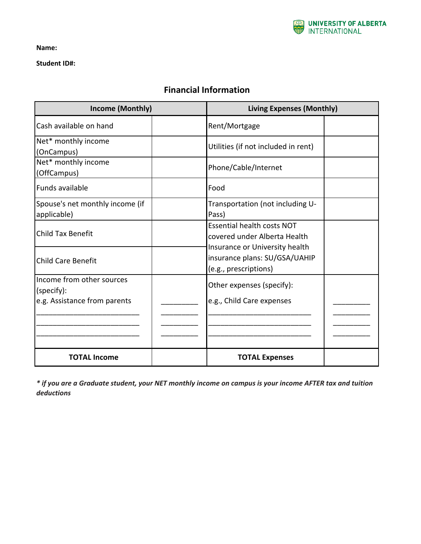

**Name:**

**Student ID#:**

## **Financial Information**

| Income (Monthly)                                                        | <b>Living Expenses (Monthly)</b>                                                         |
|-------------------------------------------------------------------------|------------------------------------------------------------------------------------------|
| Cash available on hand                                                  | Rent/Mortgage                                                                            |
| Net* monthly income<br>(OnCampus)                                       | Utilities (if not included in rent)                                                      |
| Net* monthly income<br>(OffCampus)                                      | Phone/Cable/Internet                                                                     |
| Funds available                                                         | Food                                                                                     |
| Spouse's net monthly income (if<br>applicable)                          | Transportation (not including U-<br>Pass)                                                |
| <b>Child Tax Benefit</b>                                                | <b>Essential health costs NOT</b><br>covered under Alberta Health                        |
| <b>Child Care Benefit</b>                                               | Insurance or University health<br>insurance plans: SU/GSA/UAHIP<br>(e.g., prescriptions) |
| Income from other sources<br>(specify):<br>e.g. Assistance from parents | Other expenses (specify):<br>e.g., Child Care expenses                                   |
|                                                                         |                                                                                          |
| <b>TOTAL Income</b>                                                     | <b>TOTAL Expenses</b>                                                                    |

*\* if you are a Graduate student, your NET monthly income on campus is your income AFTER tax and tuition deductions*